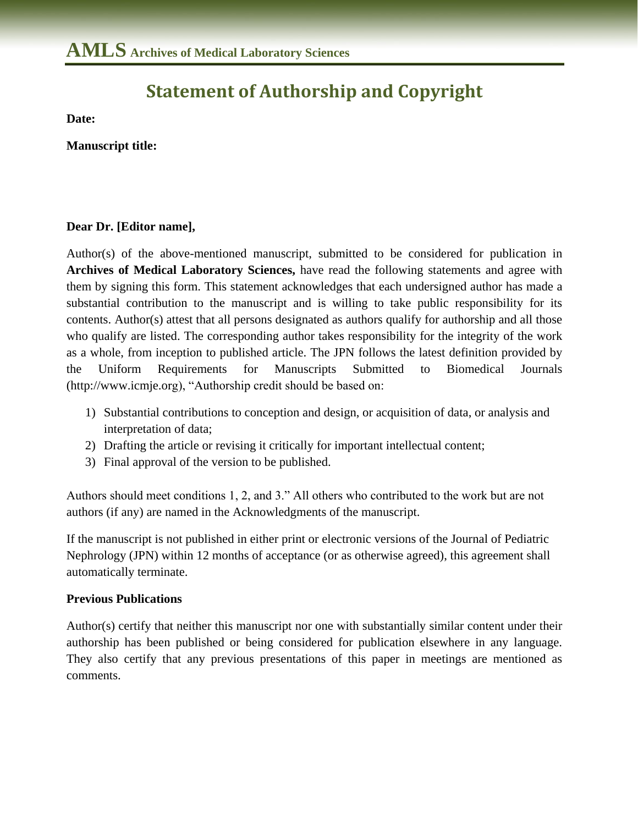## **Statement of Authorship and Copyright**

**Date:**

**Manuscript title:** 

## **Dear Dr. [Editor name],**

Author(s) of the above-mentioned manuscript, submitted to be considered for publication in **Archives of Medical Laboratory Sciences,** have read the following statements and agree with them by signing this form. This statement acknowledges that each undersigned author has made a substantial contribution to the manuscript and is willing to take public responsibility for its contents. Author(s) attest that all persons designated as authors qualify for authorship and all those who qualify are listed. The corresponding author takes responsibility for the integrity of the work as a whole, from inception to published article. The JPN follows the latest definition provided by the Uniform Requirements for Manuscripts Submitted to Biomedical Journals (http://www.icmje.org), "Authorship credit should be based on:

- 1) Substantial contributions to conception and design, or acquisition of data, or analysis and interpretation of data;
- 2) Drafting the article or revising it critically for important intellectual content;
- 3) Final approval of the version to be published.

Authors should meet conditions 1, 2, and 3." All others who contributed to the work but are not authors (if any) are named in the Acknowledgments of the manuscript.

If the manuscript is not published in either print or electronic versions of the Journal of Pediatric Nephrology (JPN) within 12 months of acceptance (or as otherwise agreed), this agreement shall automatically terminate.

## **Previous Publications**

Author(s) certify that neither this manuscript nor one with substantially similar content under their authorship has been published or being considered for publication elsewhere in any language. They also certify that any previous presentations of this paper in meetings are mentioned as comments.